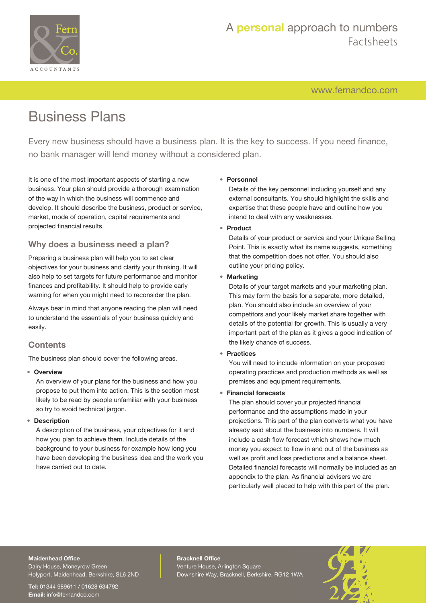

# A **personal** approach to numbers Factsheets

[www.fernandco.com](http://www.fernandco.com)

# Business Plans

Every new business should have a business plan. It is the key to success. If you need finance, no bank manager will lend money without a considered plan.

It is one of the most important aspects of starting a new business. Your plan should provide a thorough examination of the way in which the business will commence and develop. It should describe the business, product or service, market, mode of operation, capital requirements and projected financial results.

# **Why does a business need a plan?**

Preparing a business plan will help you to set clear objectives for your business and clarify your thinking. It will also help to set targets for future performance and monitor finances and profitability. It should help to provide early warning for when you might need to reconsider the plan.

Always bear in mind that anyone reading the plan will need to understand the essentials of your business quickly and easily.

# **Contents**

The business plan should cover the following areas.

#### • **Overview**

An overview of your plans for the business and how you propose to put them into action. This is the section most likely to be read by people unfamiliar with your business so try to avoid technical jargon.

#### • **Description**

A description of the business, your objectives for it and how you plan to achieve them. Include details of the background to your business for example how long you have been developing the business idea and the work you have carried out to date.

#### • **Personnel**

Details of the key personnel including yourself and any external consultants. You should highlight the skills and expertise that these people have and outline how you intend to deal with any weaknesses.

#### • **Product**

Details of your product or service and your Unique Selling Point. This is exactly what its name suggests, something that the competition does not offer. You should also outline your pricing policy.

#### • **Marketing**

Details of your target markets and your marketing plan. This may form the basis for a separate, more detailed, plan. You should also include an overview of your competitors and your likely market share together with details of the potential for growth. This is usually a very important part of the plan as it gives a good indication of the likely chance of success.

• **Practices**

You will need to include information on your proposed operating practices and production methods as well as premises and equipment requirements.

#### • **Financial forecasts**

The plan should cover your projected financial performance and the assumptions made in your projections. This part of the plan converts what you have already said about the business into numbers. It will include a cash flow forecast which shows how much money you expect to flow in and out of the business as well as profit and loss predictions and a balance sheet. Detailed financial forecasts will normally be included as an appendix to the plan. As financial advisers we are particularly well placed to help with this part of the plan.

#### **Maidenhead Office**

Dairy House, Moneyrow Green Holyport, Maidenhead, Berkshire, SL6 2ND

**Tel:** 01344 989611 / 01628 634792 **Email:** [info@fernandco.com](mailto:info@fernandco.com)

**Bracknell Office** Venture House, Arlington Square Downshire Way, Bracknell, Berkshire, RG12 1WA